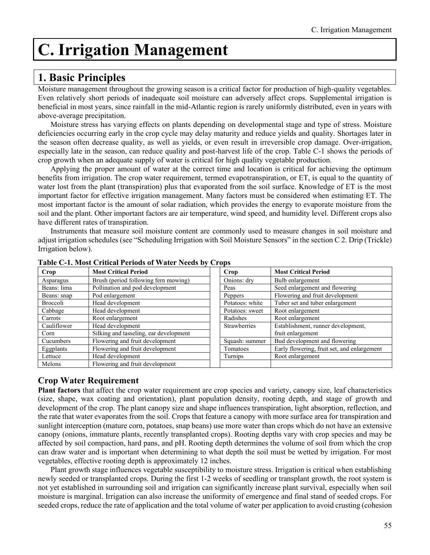# **1. Basic Principles**

Moisture management throughout the growing season is a critical factor for production of high-quality vegetables. Even relatively short periods of inadequate soil moisture can adversely affect crops. Supplemental irrigation is beneficial in most years, since rainfall in the mid-Atlantic region is rarely uniformly distributed, even in years with above-average precipitation.

Moisture stress has varying effects on plants depending on developmental stage and type of stress. Moisture deficiencies occurring early in the crop cycle may delay maturity and reduce yields and quality. Shortages later in the season often decrease quality, as well as yields, or even result in irreversible crop damage. Over-irrigation, especially late in the season, can reduce quality and post-harvest life of the crop. Table C-1 shows the periods of crop growth when an adequate supply of water is critical for high quality vegetable production.

Applying the proper amount of water at the correct time and location is critical for achieving the optimum benefits from irrigation. The crop water requirement, termed evapotranspiration, or ET, is equal to the quantity of water lost from the plant (transpiration) plus that evaporated from the soil surface. Knowledge of ET is the most important factor for effective irrigation management. Many factors must be considered when estimating ET. The most important factor is the amount of solar radiation, which provides the energy to evaporate moisture from the soil and the plant. Other important factors are air temperature, wind speed, and humidity level. Different crops also have different rates of transpiration.

Instruments that measure soil moisture content are commonly used to measure changes in soil moisture and adjust irrigation schedules (see "Scheduling Irrigation with Soil Moisture Sensors" in the section C 2. Drip (Trickle) Irrigation below).

| Crop        | <b>Most Critical Period</b>            | Crop                | <b>Most Critical Period</b>                 |
|-------------|----------------------------------------|---------------------|---------------------------------------------|
| Asparagus   | Brush (period following fern mowing)   | Onions: dry         | Bulb enlargement                            |
| Beans: lima | Pollination and pod development        | Peas                | Seed enlargement and flowering              |
| Beans: snap | Pod enlargement                        | Peppers             | Flowering and fruit development             |
| Broccoli    | Head development                       | Potatoes: white     | Tuber set and tuber enlargement             |
| Cabbage     | Head development                       | Potatoes: sweet     | Root enlargement                            |
| Carrots     | Root enlargement                       | Radishes            | Root enlargement                            |
| Cauliflower | Head development                       | <b>Strawberries</b> | Establishment, runner development,          |
| Corn        | Silking and tasseling, ear development |                     | fruit enlargement                           |
| Cucumbers   | Flowering and fruit development        | Squash: summer      | Bud development and flowering               |
| Eggplants   | Flowering and fruit development        | Tomatoes            | Early flowering, fruit set, and enlargement |
| Lettuce     | Head development                       | Turnips             | Root enlargement                            |
| Melons      | Flowering and fruit development        |                     |                                             |

#### **Table C-1. Most Critical Periods of Water Needs by Crops**

#### **Crop Water Requirement**

**Plant factors** that affect the crop water requirement are crop species and variety, canopy size, leaf characteristics (size, shape, wax coating and orientation), plant population density, rooting depth, and stage of growth and development of the crop. The plant canopy size and shape influences transpiration, light absorption, reflection, and the rate that water evaporates from the soil. Crops that feature a canopy with more surface area for transpiration and sunlight interception (mature corn, potatoes, snap beans) use more water than crops which do not have an extensive canopy (onions, immature plants, recently transplanted crops). Rooting depths vary with crop species and may be affected by soil compaction, hard pans, and pH. Rooting depth determines the volume of soil from which the crop can draw water and is important when determining to what depth the soil must be wetted by irrigation. For most vegetables, effective rooting depth is approximately 12 inches.

Plant growth stage influences vegetable susceptibility to moisture stress. Irrigation is critical when establishing newly seeded or transplanted crops. During the first 1-2 weeks of seedling or transplant growth, the root system is not yet established in surrounding soil and irrigation can significantly increase plant survival, especially when soil moisture is marginal. Irrigation can also increase the uniformity of emergence and final stand of seeded crops. For seeded crops, reduce the rate of application and the total volume of water per application to avoid crusting (cohesion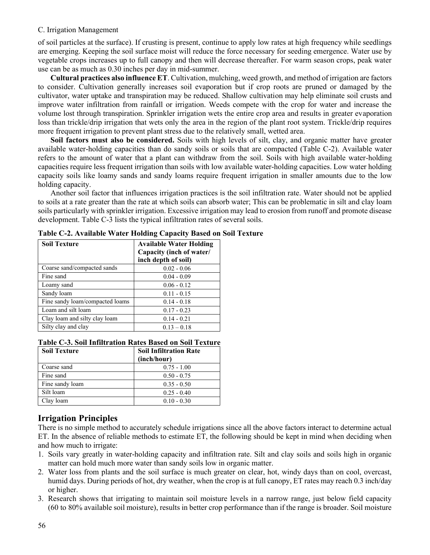of soil particles at the surface). If crusting is present, continue to apply low rates at high frequency while seedlings are emerging. Keeping the soil surface moist will reduce the force necessary for seeding emergence. Water use by vegetable crops increases up to full canopy and then will decrease thereafter. For warm season crops, peak water use can be as much as 0.30 inches per day in mid-summer.

**Cultural practices also influence ET**. Cultivation, mulching, weed growth, and method of irrigation are factors to consider. Cultivation generally increases soil evaporation but if crop roots are pruned or damaged by the cultivator, water uptake and transpiration may be reduced. Shallow cultivation may help eliminate soil crusts and improve water infiltration from rainfall or irrigation. Weeds compete with the crop for water and increase the volume lost through transpiration. Sprinkler irrigation wets the entire crop area and results in greater evaporation loss than trickle/drip irrigation that wets only the area in the region of the plant root system. Trickle/drip requires more frequent irrigation to prevent plant stress due to the relatively small, wetted area.

**Soil factors must also be considered.** Soils with high levels of silt, clay, and organic matter have greater available water-holding capacities than do sandy soils or soils that are compacted (Table C-2). Available water refers to the amount of water that a plant can withdraw from the soil. Soils with high available water-holding capacities require less frequent irrigation than soils with low available water-holding capacities. Low water holding capacity soils like loamy sands and sandy loams require frequent irrigation in smaller amounts due to the low holding capacity.

Another soil factor that influences irrigation practices is the soil infiltration rate. Water should not be applied to soils at a rate greater than the rate at which soils can absorb water; This can be problematic in silt and clay loam soils particularly with sprinkler irrigation. Excessive irrigation may lead to erosion from runoff and promote disease development. Table C-3 lists the typical infiltration rates of several soils.

| <b>Soil Texture</b>             | <b>Available Water Holding</b><br>Capacity (inch of water/<br>inch depth of soil) |
|---------------------------------|-----------------------------------------------------------------------------------|
| Coarse sand/compacted sands     | $0.02 - 0.06$                                                                     |
| Fine sand                       | $0.04 - 0.09$                                                                     |
| Loamy sand                      | $0.06 - 0.12$                                                                     |
| Sandy loam                      | $0.11 - 0.15$                                                                     |
| Fine sandy loam/compacted loams | $0.14 - 0.18$                                                                     |
| Loam and silt loam              | $0.17 - 0.23$                                                                     |
| Clay loam and silty clay loam   | $0.14 - 0.21$                                                                     |
| Silty clay and clay             | $0.13 - 0.18$                                                                     |

**Table C-2. Available Water Holding Capacity Based on Soil Texture**

#### **Table C-3. Soil Infiltration Rates Based on Soil Texture**

| <b>Soil Texture</b> | <b>Soil Infiltration Rate</b><br>(inch/hour) |
|---------------------|----------------------------------------------|
| Coarse sand         | $0.75 - 1.00$                                |
| Fine sand           | $0.50 - 0.75$                                |
| Fine sandy loam     | $0.35 - 0.50$                                |
| Silt loam           | $0.25 - 0.40$                                |
| Clay loam           | $0.10 - 0.30$                                |

### **Irrigation Principles**

There is no simple method to accurately schedule irrigations since all the above factors interact to determine actual ET. In the absence of reliable methods to estimate ET, the following should be kept in mind when deciding when and how much to irrigate:

- 1. Soils vary greatly in water-holding capacity and infiltration rate. Silt and clay soils and soils high in organic matter can hold much more water than sandy soils low in organic matter.
- 2. Water loss from plants and the soil surface is much greater on clear, hot, windy days than on cool, overcast, humid days. During periods of hot, dry weather, when the crop is at full canopy, ET rates may reach 0.3 inch/day or higher.
- 3. Research shows that irrigating to maintain soil moisture levels in a narrow range, just below field capacity (60 to 80% available soil moisture), results in better crop performance than if the range is broader. Soil moisture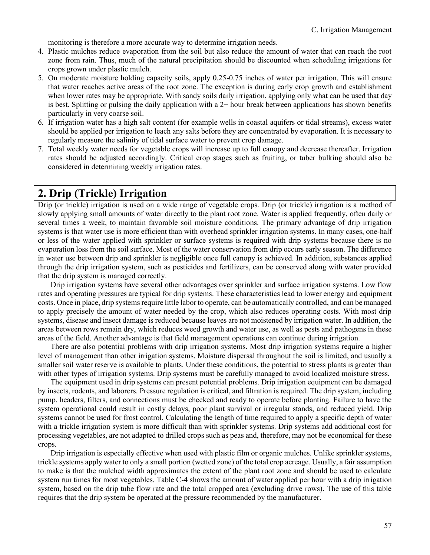monitoring is therefore a more accurate way to determine irrigation needs.

- 4. Plastic mulches reduce evaporation from the soil but also reduce the amount of water that can reach the root zone from rain. Thus, much of the natural precipitation should be discounted when scheduling irrigations for crops grown under plastic mulch.
- 5. On moderate moisture holding capacity soils, apply 0.25-0.75 inches of water per irrigation. This will ensure that water reaches active areas of the root zone. The exception is during early crop growth and establishment when lower rates may be appropriate. With sandy soils daily irrigation, applying only what can be used that day is best. Splitting or pulsing the daily application with a  $2+$  hour break between applications has shown benefits particularly in very coarse soil.
- 6. If irrigation water has a high salt content (for example wells in coastal aquifers or tidal streams), excess water should be applied per irrigation to leach any salts before they are concentrated by evaporation. It is necessary to regularly measure the salinity of tidal surface water to prevent crop damage.
- 7. Total weekly water needs for vegetable crops will increase up to full canopy and decrease thereafter. Irrigation rates should be adjusted accordingly. Critical crop stages such as fruiting, or tuber bulking should also be considered in determining weekly irrigation rates.

# **2. Drip (Trickle) Irrigation**

Drip (or trickle) irrigation is used on a wide range of vegetable crops. Drip (or trickle) irrigation is a method of slowly applying small amounts of water directly to the plant root zone. Water is applied frequently, often daily or several times a week, to maintain favorable soil moisture conditions. The primary advantage of drip irrigation systems is that water use is more efficient than with overhead sprinkler irrigation systems. In many cases, one-half or less of the water applied with sprinkler or surface systems is required with drip systems because there is no evaporation loss from the soil surface. Most of the water conservation from drip occurs early season. The difference in water use between drip and sprinkler is negligible once full canopy is achieved. In addition, substances applied through the drip irrigation system, such as pesticides and fertilizers, can be conserved along with water provided that the drip system is managed correctly.

Drip irrigation systems have several other advantages over sprinkler and surface irrigation systems. Low flow rates and operating pressures are typical for drip systems. These characteristics lead to lower energy and equipment costs. Once in place, drip systems require little labor to operate, can be automatically controlled, and can be managed to apply precisely the amount of water needed by the crop, which also reduces operating costs. With most drip systems, disease and insect damage is reduced because leaves are not moistened by irrigation water. In addition, the areas between rows remain dry, which reduces weed growth and water use, as well as pests and pathogens in these areas of the field. Another advantage is that field management operations can continue during irrigation.

There are also potential problems with drip irrigation systems. Most drip irrigation systems require a higher level of management than other irrigation systems. Moisture dispersal throughout the soil is limited, and usually a smaller soil water reserve is available to plants. Under these conditions, the potential to stress plants is greater than with other types of irrigation systems. Drip systems must be carefully managed to avoid localized moisture stress.

The equipment used in drip systems can present potential problems. Drip irrigation equipment can be damaged by insects, rodents, and laborers. Pressure regulation is critical, and filtration is required. The drip system, including pump, headers, filters, and connections must be checked and ready to operate before planting. Failure to have the system operational could result in costly delays, poor plant survival or irregular stands, and reduced yield. Drip systems cannot be used for frost control. Calculating the length of time required to apply a specific depth of water with a trickle irrigation system is more difficult than with sprinkler systems. Drip systems add additional cost for processing vegetables, are not adapted to drilled crops such as peas and, therefore, may not be economical for these crops.

Drip irrigation is especially effective when used with plastic film or organic mulches. Unlike sprinkler systems, trickle systems apply water to only a small portion (wetted zone) of the total crop acreage. Usually, a fair assumption to make is that the mulched width approximates the extent of the plant root zone and should be used to calculate system run times for most vegetables. Table C-4 shows the amount of water applied per hour with a drip irrigation system, based on the drip tube flow rate and the total cropped area (excluding drive rows). The use of this table requires that the drip system be operated at the pressure recommended by the manufacturer.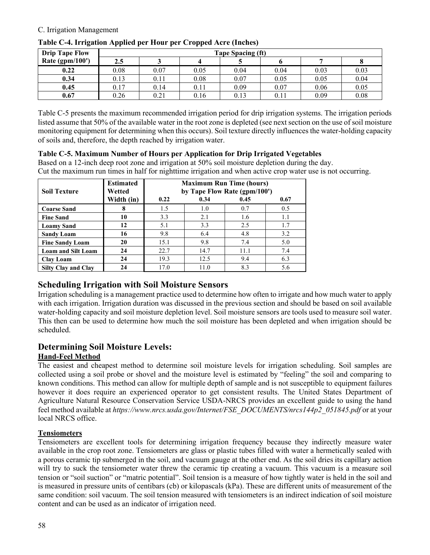| <b>Drip Tape Flow</b> |      |          |      | Tape Spacing (ft) |      |      |      |
|-----------------------|------|----------|------|-------------------|------|------|------|
| Rate ( $gpm/100$ )    | 2.5  |          |      |                   |      |      |      |
| 0.22                  | 0.08 | 0.07     | 0.05 | 0.04              | 0.04 | 0.03 | 0.03 |
| 0.34                  | 0.13 | $0.11\,$ | 0.08 | 0.07              | 0.05 | 0.05 | 0.04 |
| 0.45                  | 0.17 | 0.14     | 0.11 | 0.09              | 0.07 | 0.06 | 0.05 |
| 0.67                  | 0.26 | 0.21     | 0.16 | 0.13              | 0.11 | 0.09 | 0.08 |

#### **Table C-4. Irrigation Applied per Hour per Cropped Acre (Inches)**

Table C-5 presents the maximum recommended irrigation period for drip irrigation systems. The irrigation periods listed assume that 50% of the available water in the root zone is depleted (see next section on the use of soil moisture monitoring equipment for determining when this occurs). Soil texture directly influences the water-holding capacity of soils and, therefore, the depth reached by irrigation water.

#### **Table C-5. Maximum Number of Hours per Application for Drip Irrigated Vegetables**

Based on a 12-inch deep root zone and irrigation at 50% soil moisture depletion during the day. Cut the maximum run times in half for nighttime irrigation and when active crop water use is not occurring.

| <b>Soil Texture</b>        | <b>Estimated</b><br>Wetted |      | <b>Maximum Run Time (hours)</b><br>by Tape Flow Rate (gpm/100') |      |      |
|----------------------------|----------------------------|------|-----------------------------------------------------------------|------|------|
|                            | Width (in)                 | 0.22 | 0.34                                                            | 0.45 | 0.67 |
| <b>Coarse Sand</b>         | 8                          | 1.5  | 1.0                                                             | 0.7  | 0.5  |
| <b>Fine Sand</b>           | 10                         | 3.3  | 2.1                                                             | 1.6  | 1.1  |
| <b>Loamy Sand</b>          | 12                         | 5.1  | 3.3                                                             | 2.5  | 1.7  |
| <b>Sandy Loam</b>          | 16                         | 9.8  | 6.4                                                             | 4.8  | 3.2  |
| <b>Fine Sandy Loam</b>     | 20                         | 15.1 | 9.8                                                             | 7.4  | 5.0  |
| <b>Loam and Silt Loam</b>  | 24                         | 22.7 | 14.7                                                            | 11.1 | 7.4  |
| Clay Loam                  | 24                         | 19.3 | 12.5                                                            | 9.4  | 6.3  |
| <b>Silty Clay and Clay</b> | 24                         | 17.0 | 11.0                                                            | 8.3  | 5.6  |

### **Scheduling Irrigation with Soil Moisture Sensors**

Irrigation scheduling is a management practice used to determine how often to irrigate and how much water to apply with each irrigation. Irrigation duration was discussed in the previous section and should be based on soil available water-holding capacity and soil moisture depletion level. Soil moisture sensors are tools used to measure soil water. This then can be used to determine how much the soil moisture has been depleted and when irrigation should be scheduled.

#### **Determining Soil Moisture Levels: Hand-Feel Method**

The easiest and cheapest method to determine soil moisture levels for irrigation scheduling. Soil samples are collected using a soil probe or shovel and the moisture level is estimated by "feeling" the soil and comparing to known conditions. This method can allow for multiple depth of sample and is not susceptible to equipment failures however it does require an experienced operator to get consistent results. The United States Department of Agriculture Natural Resource Conservation Service USDA-NRCS provides an excellent guide to using the hand feel method available at *https://www.nrcs.usda.gov/Internet/FSE\_DOCUMENTS/nrcs144p2\_051845.pdf* or at your local NRCS office.

#### **Tensiometers**

Tensiometers are excellent tools for determining irrigation frequency because they indirectly measure water available in the crop root zone. Tensiometers are glass or plastic tubes filled with water a hermetically sealed with a porous ceramic tip submerged in the soil, and vacuum gauge at the other end. As the soil dries its capillary action will try to suck the tensiometer water threw the ceramic tip creating a vacuum. This vacuum is a measure soil tension or "soil suction" or "matric potential". Soil tension is a measure of how tightly water is held in the soil and is measured in pressure units of centibars (cb) or kilopascals (kPa). These are different units of measurement of the same condition: soil vacuum. The soil tension measured with tensiometers is an indirect indication of soil moisture content and can be used as an indicator of irrigation need.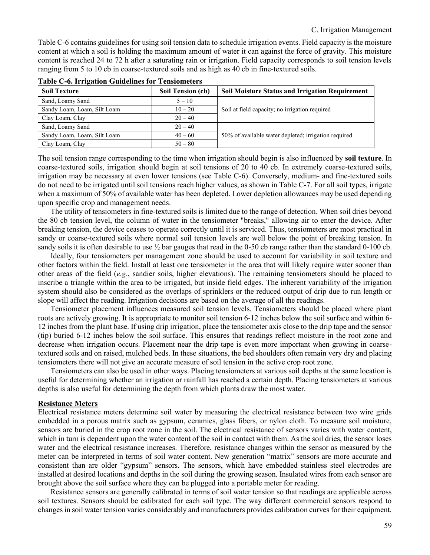Table C-6 contains guidelines for using soil tension data to schedule irrigation events. Field capacity is the moisture content at which a soil is holding the maximum amount of water it can against the force of gravity. This moisture content is reached 24 to 72 h after a saturating rain or irrigation. Field capacity corresponds to soil tension levels ranging from 5 to 10 cb in coarse-textured soils and as high as 40 cb in fine-textured soils.

| <b>Soil Texture</b>         | <b>Soil Tension (cb)</b> | <b>Soil Moisture Status and Irrigation Requirement</b> |
|-----------------------------|--------------------------|--------------------------------------------------------|
| Sand, Loamy Sand            | $5 - 10$                 |                                                        |
| Sandy Loam, Loam, Silt Loam | $10 - 20$                | Soil at field capacity; no irrigation required         |
| Clay Loam, Clay             | $20 - 40$                |                                                        |
| Sand, Loamy Sand            | $20 - 40$                |                                                        |
| Sandy Loam, Loam, Silt Loam | $40 - 60$                | 50% of available water depleted; irrigation required   |
| Clay Loam, Clay             | $50 - 80$                |                                                        |

The soil tension range corresponding to the time when irrigation should begin is also influenced by **soil texture**. In coarse-textured soils, irrigation should begin at soil tensions of 20 to 40 cb. In extremely coarse-textured soils, irrigation may be necessary at even lower tensions (see Table C-6). Conversely, medium- and fine-textured soils do not need to be irrigated until soil tensions reach higher values, as shown in Table C-7. For all soil types, irrigate when a maximum of 50% of available water has been depleted. Lower depletion allowances may be used depending upon specific crop and management needs.

The utility of tensiometers in fine-textured soils is limited due to the range of detection. When soil dries beyond the 80 cb tension level, the column of water in the tensiometer "breaks," allowing air to enter the device. After breaking tension, the device ceases to operate correctly until it is serviced. Thus, tensiometers are most practical in sandy or coarse-textured soils where normal soil tension levels are well below the point of breaking tension. In sandy soils it is often desirable to use  $\frac{1}{2}$  bar gauges that read in the 0-50 cb range rather than the standard 0-100 cb.

Ideally, four tensiometers per management zone should be used to account for variability in soil texture and other factors within the field. Install at least one tensiometer in the area that will likely require water sooner than other areas of the field (*e.g*., sandier soils, higher elevations). The remaining tensiometers should be placed to inscribe a triangle within the area to be irrigated, but inside field edges. The inherent variability of the irrigation system should also be considered as the overlaps of sprinklers or the reduced output of drip due to run length or slope will affect the reading. Irrigation decisions are based on the average of all the readings.

Tensiometer placement influences measured soil tension levels. Tensiometers should be placed where plant roots are actively growing. It is appropriate to monitor soil tension 6-12 inches below the soil surface and within 6- 12 inches from the plant base. If using drip irrigation, place the tensiometer axis close to the drip tape and the sensor (tip) buried 6-12 inches below the soil surface. This ensures that readings reflect moisture in the root zone and decrease when irrigation occurs. Placement near the drip tape is even more important when growing in coarsetextured soils and on raised, mulched beds. In these situations, the bed shoulders often remain very dry and placing tensiometers there will not give an accurate measure of soil tension in the active crop root zone.

Tensiometers can also be used in other ways. Placing tensiometers at various soil depths at the same location is useful for determining whether an irrigation or rainfall has reached a certain depth. Placing tensiometers at various depths is also useful for determining the depth from which plants draw the most water.

#### **Resistance Meters**

Electrical resistance meters determine soil water by measuring the electrical resistance between two wire grids embedded in a porous matrix such as gypsum, ceramics, glass fibers, or nylon cloth. To measure soil moisture, sensors are buried in the crop root zone in the soil. The electrical resistance of sensors varies with water content, which in turn is dependent upon the water content of the soil in contact with them. As the soil dries, the sensor loses water and the electrical resistance increases. Therefore, resistance changes within the sensor as measured by the meter can be interpreted in terms of soil water content. New generation "matrix" sensors are more accurate and consistent than are older "gypsum" sensors. The sensors, which have embedded stainless steel electrodes are installed at desired locations and depths in the soil during the growing season. Insulated wires from each sensor are brought above the soil surface where they can be plugged into a portable meter for reading.

Resistance sensors are generally calibrated in terms of soil water tension so that readings are applicable across soil textures. Sensors should be calibrated for each soil type. The way different commercial sensors respond to changes in soil water tension varies considerably and manufacturers provides calibration curves for their equipment.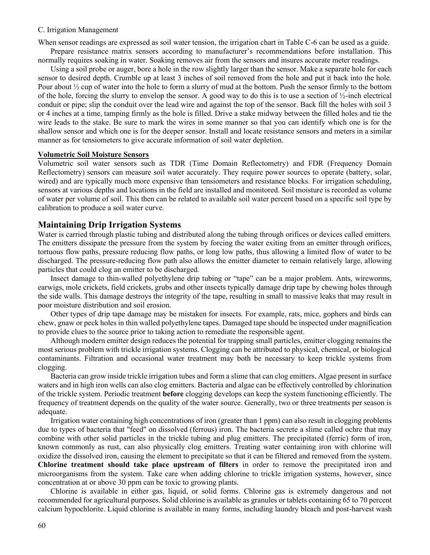When sensor readings are expressed as soil water tension, the irrigation chart in Table C-6 can be used as a guide. Prepare resistance matrix sensors according to manufacturer's recommendations before installation. This

normally requires soaking in water. Soaking removes air from the sensors and insures accurate meter readings.

Using a soil probe or auger, bore a hole in the row slightly larger than the sensor. Make a separate hole for each sensor to desired depth. Crumble up at least 3 inches of soil removed from the hole and put it back into the hole. Pour about ½ cup of water into the hole to form a slurry of mud at the bottom. Push the sensor firmly to the bottom of the hole, forcing the slurry to envelop the sensor. A good way to do this is to use a section of  $\frac{1}{2}$ -inch electrical conduit or pipe; slip the conduit over the lead wire and against the top of the sensor. Back fill the holes with soil 3 or 4 inches at a time, tamping firmly as the hole is filled. Drive a stake midway between the filled holes and tie the wire leads to the stake. Be sure to mark the wires in some manner so that you can identify which one is for the shallow sensor and which one is for the deeper sensor. Install and locate resistance sensors and meters in a similar manner as for tensiometers to give accurate information of soil water depletion.

#### **Volumetric Soil Moisture Sensors**

Volumetric soil water sensors such as TDR (Time Domain Reflectometry) and FDR (Frequency Domain Reflectometry) sensors can measure soil water accurately. They require power sources to operate (battery, solar, wired) and are typically much more expensive than tensiometers and resistance blocks. For irrigation scheduling, sensors at various depths and locations in the field are installed and monitored. Soil moisture is recorded as volume of water per volume of soil. This then can be related to available soil water percent based on a specific soil type by calibration to produce a soil water curve.

### **Maintaining Drip Irrigation Systems**

Water is carried through plastic tubing and distributed along the tubing through orifices or devices called emitters. The emitters dissipate the pressure from the system by forcing the water exiting from an emitter through orifices, tortuous flow paths, pressure reducing flow paths, or long low paths, thus allowing a limited flow of water to be discharged. The pressure-reducing flow path also allows the emitter diameter to remain relatively large, allowing particles that could clog an emitter to be discharged.

Insect damage to thin-walled polyethylene drip tubing or "tape" can be a major problem. Ants, wireworms, earwigs, mole crickets, field crickets, grubs and other insects typically damage drip tape by chewing holes through the side walls. This damage destroys the integrity of the tape, resulting in small to massive leaks that may result in poor moisture distribution and soil erosion.

Other types of drip tape damage may be mistaken for insects. For example, rats, mice, gophers and birds can chew, gnaw or peck holes in thin walled polyethylene tapes. Damaged tape should be inspected under magnification to provide clues to the source prior to taking action to remediate the responsible agent.

Although modern emitter design reduces the potential for trapping small particles, emitter clogging remains the most serious problem with trickle irrigation systems. Clogging can be attributed to physical, chemical, or biological contaminants. Filtration and occasional water treatment may both be necessary to keep trickle systems from clogging.

Bacteria can grow inside trickle irrigation tubes and form a slime that can clog emitters. Algae present in surface waters and in high iron wells can also clog emitters. Bacteria and algae can be effectively controlled by chlorination of the trickle system. Periodic treatment **before** clogging develops can keep the system functioning efficiently. The frequency of treatment depends on the quality of the water source. Generally, two or three treatments per season is adequate.

Irrigation water containing high concentrations of iron (greater than 1 ppm) can also result in clogging problems due to types of bacteria that "feed" on dissolved (ferrous) iron. The bacteria secrete a slime called ochre that may combine with other solid particles in the trickle tubing and plug emitters. The precipitated (ferric) form of iron, known commonly as rust, can also physically clog emitters. Treating water containing iron with chlorine will oxidize the dissolved iron, causing the element to precipitate so that it can be filtered and removed from the system. **Chlorine treatment should take place upstream of filters** in order to remove the precipitated iron and microorganisms from the system. Take care when adding chlorine to trickle irrigation systems, however, since concentration at or above 30 ppm can be toxic to growing plants.

Chlorine is available in either gas, liquid, or solid forms. Chlorine gas is extremely dangerous and not recommended for agricultural purposes. Solid chlorine is available as granules or tablets containing 65 to 70 percent calcium hypochlorite. Liquid chlorine is available in many forms, including laundry bleach and post-harvest wash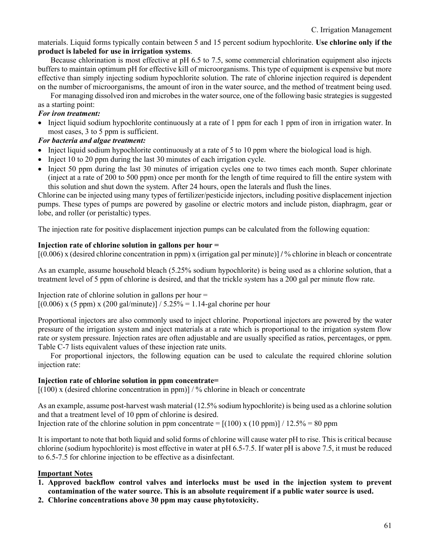materials. Liquid forms typically contain between 5 and 15 percent sodium hypochlorite. **Use chlorine only if the product is labeled for use in irrigation systems**.

Because chlorination is most effective at pH 6.5 to 7.5, some commercial chlorination equipment also injects buffers to maintain optimum pH for effective kill of microorganisms. This type of equipment is expensive but more effective than simply injecting sodium hypochlorite solution. The rate of chlorine injection required is dependent on the number of microorganisms, the amount of iron in the water source, and the method of treatment being used.

For managing dissolved iron and microbes in the water source, one of the following basic strategies is suggested as a starting point:

#### *For iron treatment:*

• Inject liquid sodium hypochlorite continuously at a rate of 1 ppm for each 1 ppm of iron in irrigation water. In most cases, 3 to 5 ppm is sufficient.

#### *For bacteria and algae treatment:*

- Inject liquid sodium hypochlorite continuously at a rate of 5 to 10 ppm where the biological load is high.
- Inject 10 to 20 ppm during the last 30 minutes of each irrigation cycle.
- Inject 50 ppm during the last 30 minutes of irrigation cycles one to two times each month. Super chlorinate (inject at a rate of 200 to 500 ppm) once per month for the length of time required to fill the entire system with this solution and shut down the system. After 24 hours, open the laterals and flush the lines.

Chlorine can be injected using many types of fertilizer/pesticide injectors, including positive displacement injection pumps. These types of pumps are powered by gasoline or electric motors and include piston, diaphragm, gear or lobe, and roller (or peristaltic) types.

The injection rate for positive displacement injection pumps can be calculated from the following equation:

#### **Injection rate of chlorine solution in gallons per hour =**

[(0.006) x (desired chlorine concentration in ppm) x (irrigation gal per minute)] **/** % chlorine in bleach or concentrate

As an example, assume household bleach (5.25% sodium hypochlorite) is being used as a chlorine solution, that a treatment level of 5 ppm of chlorine is desired, and that the trickle system has a 200 gal per minute flow rate.

Injection rate of chlorine solution in gallons per hour  $=$  $[(0.006) \times (5 \text{ ppm}) \times (200 \text{ gal/minute})] / 5.25\% = 1.14\text{-gal}$  chorine per hour

Proportional injectors are also commonly used to inject chlorine. Proportional injectors are powered by the water pressure of the irrigation system and inject materials at a rate which is proportional to the irrigation system flow rate or system pressure. Injection rates are often adjustable and are usually specified as ratios, percentages, or ppm. Table C-7 lists equivalent values of these injection rate units.

For proportional injectors, the following equation can be used to calculate the required chlorine solution injection rate:

#### **Injection rate of chlorine solution in ppm concentrate=**

 $[(100)$  x (desired chlorine concentration in ppm)] / % chlorine in bleach or concentrate

As an example, assume post-harvest wash material (12.5% sodium hypochlorite) is being used as a chlorine solution and that a treatment level of 10 ppm of chlorine is desired.

Injection rate of the chlorine solution in ppm concentrate =  $[(100) \times (10 \text{ ppm})] / 12.5\% = 80 \text{ ppm}$ 

It is important to note that both liquid and solid forms of chlorine will cause water pH to rise. This is critical because chlorine (sodium hypochlorite) is most effective in water at pH 6.5-7.5. If water pH is above 7.5, it must be reduced to 6.5-7.5 for chlorine injection to be effective as a disinfectant.

#### **Important Notes**

- **1. Approved backflow control valves and interlocks must be used in the injection system to prevent contamination of the water source. This is an absolute requirement if a public water source is used.**
- **2. Chlorine concentrations above 30 ppm may cause phytotoxicity.**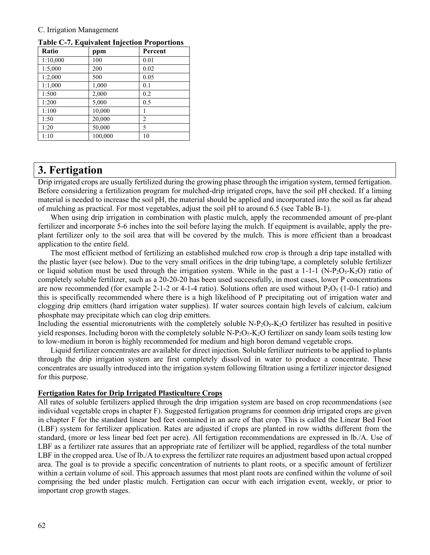| Ratio    | ppm     | Percent        |
|----------|---------|----------------|
| 1:10,000 | 100     | 0.01           |
| 1:5,000  | 200     | 0.02           |
| 1:2,000  | 500     | 0.05           |
| 1:1,000  | 1,000   | 0.1            |
| 1:500    | 2,000   | 0.2            |
| 1:200    | 5,000   | 0.5            |
| 1:100    | 10,000  | 1              |
| 1:50     | 20,000  | $\overline{2}$ |
| 1:20     | 50,000  | 5              |
| 1:10     | 100,000 | 10             |

|--|

## **3. Fertigation**

Drip irrigated crops are usually fertilized during the growing phase through the irrigation system, termed fertigation. Before considering a fertilization program for mulched-drip irrigated crops, have the soil pH checked. If a liming material is needed to increase the soil pH, the material should be applied and incorporated into the soil as far ahead of mulching as practical. For most vegetables, adjust the soil pH to around 6.5 (see Table B-1).

When using drip irrigation in combination with plastic mulch, apply the recommended amount of pre-plant fertilizer and incorporate 5-6 inches into the soil before laying the mulch. If equipment is available, apply the preplant fertilizer only to the soil area that will be covered by the mulch. This is more efficient than a broadcast application to the entire field.

The most efficient method of fertilizing an established mulched row crop is through a drip tape installed with the plastic layer (see below). Due to the very small orifices in the drip tubing/tape, a completely soluble fertilizer or liquid solution must be used through the irrigation system. While in the past a 1-1-1 (N-P<sub>2</sub>O<sub>5</sub>-K<sub>2</sub>O) ratio of completely soluble fertilizer, such as a 20-20-20 has been used successfully, in most cases, lower P concentrations are now recommended (for example 2-1-2 or 4-1-4 ratio). Solutions often are used without  $P_2O_5$  (1-0-1 ratio) and this is specifically recommended where there is a high likelihood of P precipitating out of irrigation water and clogging drip emitters (hard irrigation water supplies). If water sources contain high levels of calcium, calcium phosphate may precipitate which can clog drip emitters.

Including the essential micronutrients with the completely soluble N-P<sub>2</sub>O<sub>5</sub>-K<sub>2</sub>O fertilizer has resulted in positive yield responses. Including boron with the completely soluble N-P<sub>2</sub>O<sub>5</sub>-K<sub>2</sub>O fertilizer on sandy loam soils testing low to low-medium in boron is highly recommended for medium and high boron demand vegetable crops.

Liquid fertilizer concentrates are available for direct injection. Soluble fertilizer nutrients to be applied to plants through the drip irrigation system are first completely dissolved in water to produce a concentrate. These concentrates are usually introduced into the irrigation system following filtration using a fertilizer injector designed for this purpose.

#### **Fertigation Rates for Drip Irrigated Plasticulture Crops**

All rates of soluble fertilizers applied through the drip irrigation system are based on crop recommendations (see individual vegetable crops in chapter F). Suggested fertigation programs for common drip irrigated crops are given in chapter F for the standard linear bed feet contained in an acre of that crop. This is called the Linear Bed Foot (LBF) system for fertilizer application. Rates are adjusted if crops are planted in row widths different from the standard, (more or less linear bed feet per acre). All fertigation recommendations are expressed in lb./A. Use of LBF as a fertilizer rate assures that an appropriate rate of fertilizer will be applied, regardless of the total number LBF in the cropped area. Use of lb./A to express the fertilizer rate requires an adjustment based upon actual cropped area. The goal is to provide a specific concentration of nutrients to plant roots, or a specific amount of fertilizer within a certain volume of soil. This approach assumes that most plant roots are confined within the volume of soil comprising the bed under plastic mulch. Fertigation can occur with each irrigation event, weekly, or prior to important crop growth stages.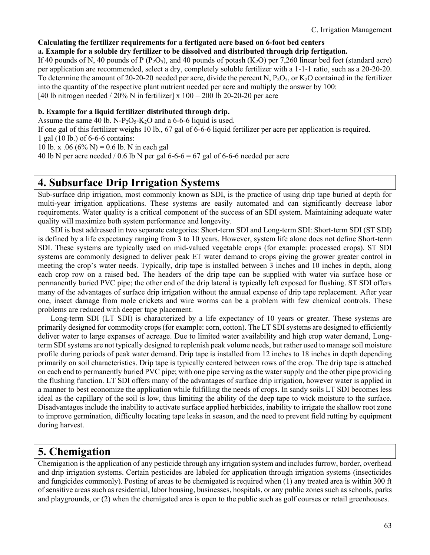#### **Calculating the fertilizer requirements for a fertigated acre based on 6-foot bed centers**

#### **a. Example for a soluble dry fertilizer to be dissolved and distributed through drip fertigation.**

If 40 pounds of N, 40 pounds of P ( $P_2O_5$ ), and 40 pounds of potash (K<sub>2</sub>O) per 7,260 linear bed feet (standard acre) per application are recommended, select a dry, completely soluble fertilizer with a 1-1-1 ratio, such as a 20-20-20. To determine the amount of 20-20-20 needed per acre, divide the percent N,  $P_2O_5$ , or  $K_2O$  contained in the fertilizer into the quantity of the respective plant nutrient needed per acre and multiply the answer by 100: [40 lb nitrogen needed  $/$  20% N in fertilizer] x 100 = 200 lb 20-20-20 per acre

#### **b. Example for a liquid fertilizer distributed through drip.**

Assume the same 40 lb. N-P<sub>2</sub>O<sub>5</sub>-K<sub>2</sub>O and a 6-6-6 liquid is used.

If one gal of this fertilizer weighs 10 lb., 67 gal of 6-6-6 liquid fertilizer per acre per application is required.

1 gal (10 lb.) of 6-6-6 contains:

10 lb. x .06 (6% N) = 0.6 lb. N in each gal

40 lb N per acre needed / 0.6 lb N per gal  $6-6-6 = 67$  gal of  $6-6-6$  needed per acre

# **4. Subsurface Drip Irrigation Systems**

Sub-surface drip irrigation, most commonly known as SDI, is the practice of using drip tape buried at depth for multi-year irrigation applications. These systems are easily automated and can significantly decrease labor requirements. Water quality is a critical component of the success of an SDI system. Maintaining adequate water quality will maximize both system performance and longevity.

SDI is best addressed in two separate categories: Short-term SDI and Long-term SDI: Short-term SDI (ST SDI) is defined by a life expectancy ranging from 3 to 10 years. However, system life alone does not define Short-term SDI. These systems are typically used on mid-valued vegetable crops (for example: processed crops). ST SDI systems are commonly designed to deliver peak ET water demand to crops giving the grower greater control in meeting the crop's water needs. Typically, drip tape is installed between 3 inches and 10 inches in depth, along each crop row on a raised bed. The headers of the drip tape can be supplied with water via surface hose or permanently buried PVC pipe; the other end of the drip lateral is typically left exposed for flushing. ST SDI offers many of the advantages of surface drip irrigation without the annual expense of drip tape replacement. After year one, insect damage from mole crickets and wire worms can be a problem with few chemical controls. These problems are reduced with deeper tape placement.

Long-term SDI (LT SDI) is characterized by a life expectancy of 10 years or greater. These systems are primarily designed for commodity crops (for example: corn, cotton). The LT SDI systems are designed to efficiently deliver water to large expanses of acreage. Due to limited water availability and high crop water demand, Longterm SDI systems are not typically designed to replenish peak volume needs, but rather used to manage soil moisture profile during periods of peak water demand. Drip tape is installed from 12 inches to 18 inches in depth depending primarily on soil characteristics. Drip tape is typically centered between rows of the crop. The drip tape is attached on each end to permanently buried PVC pipe; with one pipe serving as the water supply and the other pipe providing the flushing function. LT SDI offers many of the advantages of surface drip irrigation, however water is applied in a manner to best economize the application while fulfilling the needs of crops. In sandy soils LT SDI becomes less ideal as the capillary of the soil is low, thus limiting the ability of the deep tape to wick moisture to the surface. Disadvantages include the inability to activate surface applied herbicides, inability to irrigate the shallow root zone to improve germination, difficulty locating tape leaks in season, and the need to prevent field rutting by equipment during harvest.

# **5. Chemigation**

Chemigation is the application of any pesticide through any irrigation system and includes furrow, border, overhead and drip irrigation systems. Certain pesticides are labeled for application through irrigation systems (insecticides and fungicides commonly). Posting of areas to be chemigated is required when (1) any treated area is within 300 ft of sensitive areas such as residential, labor housing, businesses, hospitals, or any public zones such as schools, parks and playgrounds, or (2) when the chemigated area is open to the public such as golf courses or retail greenhouses.